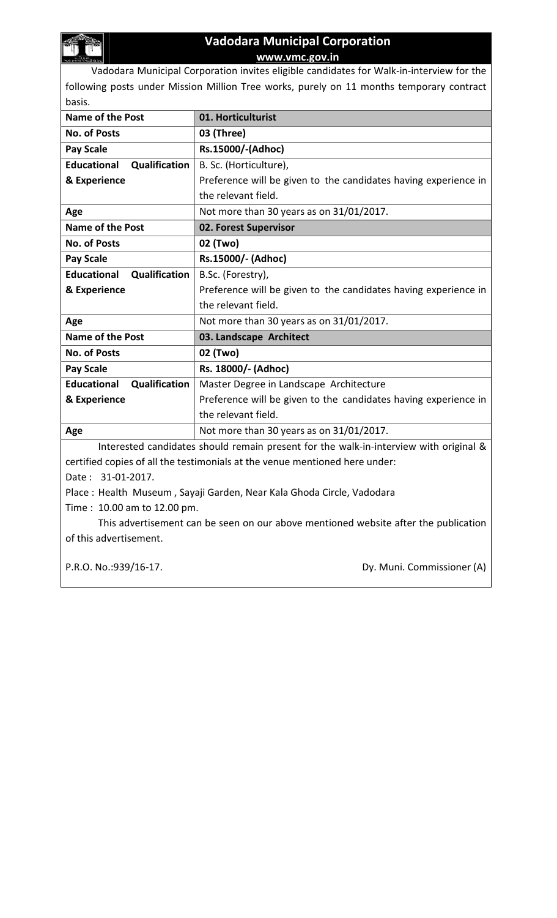

## Vadodara Municipal Corporation www.vmc.gov.in

Vadodara Municipal Corporation invites eligible candidates for Walk-in-interview for the following posts under Mission Million Tree works, purely on 11 months temporary contract basis.

| <b>Name of the Post</b>             | 01. Horticulturist                                                                    |  |  |  |
|-------------------------------------|---------------------------------------------------------------------------------------|--|--|--|
| <b>No. of Posts</b>                 | 03 (Three)                                                                            |  |  |  |
| <b>Pay Scale</b>                    | Rs.15000/-(Adhoc)                                                                     |  |  |  |
| <b>Educational</b><br>Qualification | B. Sc. (Horticulture),                                                                |  |  |  |
| & Experience                        | Preference will be given to the candidates having experience in                       |  |  |  |
|                                     | the relevant field.                                                                   |  |  |  |
| Age                                 | Not more than 30 years as on 31/01/2017.                                              |  |  |  |
| <b>Name of the Post</b>             | 02. Forest Supervisor                                                                 |  |  |  |
| <b>No. of Posts</b>                 | 02 (Two)                                                                              |  |  |  |
| <b>Pay Scale</b>                    | Rs.15000/- (Adhoc)                                                                    |  |  |  |
| <b>Educational</b><br>Qualification | B.Sc. (Forestry),                                                                     |  |  |  |
| & Experience                        | Preference will be given to the candidates having experience in                       |  |  |  |
|                                     | the relevant field.                                                                   |  |  |  |
| Age                                 | Not more than 30 years as on 31/01/2017.                                              |  |  |  |
|                                     |                                                                                       |  |  |  |
| <b>Name of the Post</b>             | 03. Landscape Architect                                                               |  |  |  |
| <b>No. of Posts</b>                 | 02 (Two)                                                                              |  |  |  |
| <b>Pay Scale</b>                    | Rs. 18000/- (Adhoc)                                                                   |  |  |  |
| <b>Educational</b><br>Qualification | Master Degree in Landscape Architecture                                               |  |  |  |
| & Experience                        | Preference will be given to the candidates having experience in                       |  |  |  |
|                                     | the relevant field.                                                                   |  |  |  |
| Age                                 | Not more than 30 years as on 31/01/2017.                                              |  |  |  |
|                                     | Interested candidates should remain present for the walk-in-interview with original & |  |  |  |
|                                     | certified copies of all the testimonials at the venue mentioned here under:           |  |  |  |
| Date: 31-01-2017.                   |                                                                                       |  |  |  |
|                                     | Place: Health Museum, Sayaji Garden, Near Kala Ghoda Circle, Vadodara                 |  |  |  |
| Time: 10.00 am to 12.00 pm.         |                                                                                       |  |  |  |
|                                     | This advertisement can be seen on our above mentioned website after the publication   |  |  |  |

P.R.O. No.:939/16-17. COMMISSIONER (A)